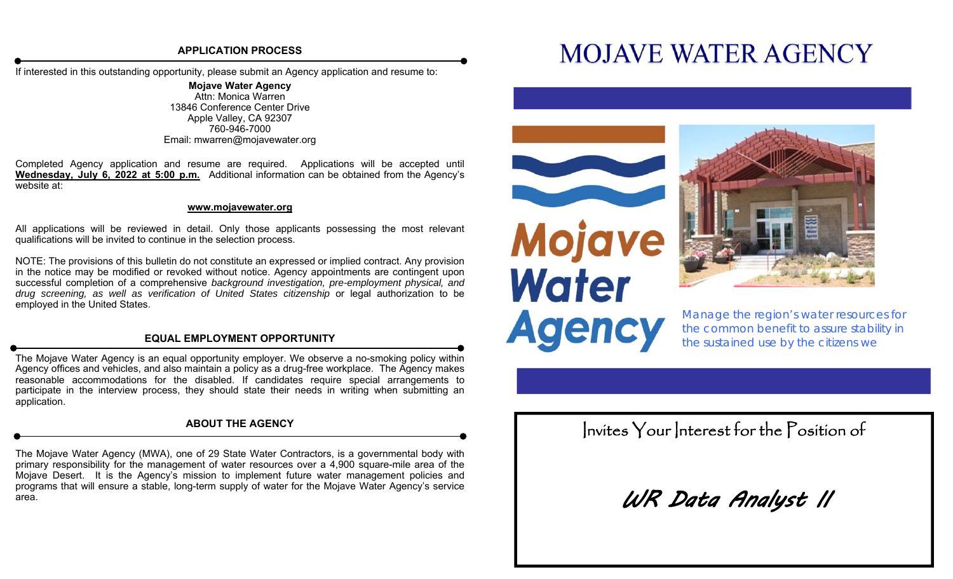## **APPLICATION PROCESS**

If interested in this outstanding opportunity, please submit an Agency application and resume to:

**Mojave Water Agency**  Attn: Monica Warren 13846 Conference Center Drive Apple Valley, CA 92307 760-946-7000 Email: mwarren@mojavewater.org

Completed Agency application and resume are required. Applications will be accepted until **Wednesday, July 6, 2022 at 5:00 p.m.** Additional information can be obtained from the Agency's website at:

### **www.mojavewater.org**

All applications will be reviewed in detail. Only those applicants possessing the most relevant qualifications will be invited to continue in the selection process.

NOTE: The provisions of this bulletin do not constitute an expressed or implied contract. Any provision in the notice may be modified or revoked without notice. Agency appointments are contingent upon successful completion of a comprehensive *background investigation, pre-employment physical, and drug screening, as well as verification of United States citizenship* or legal authorization to be employed in the United States.

## **EQUAL EMPLOYMENT OPPORTUNITY**

The Mojave Water Agency is an equal opportunity employer. We observe a no-smoking policy within Agency offices and vehicles, and also maintain a policy as a drug-free workplace. The Agency makes reasonable accommodations for the disabled. If candidates require special arrangements to participate in the interview process, they should state their needs in writing when submitting an application.

## **ABOUT THE AGENCY**

The Mojave Water Agency (MWA), one of 29 State Water Contractors, is a governmental body with primary responsibility for the management of water resources over a 4,900 square-mile area of the Mojave Desert. It is the Agency's mission to implement future water management policies and programs that will ensure a stable, long-term supply of water for the Mojave Water Agency's service area.

# **MOJAVE WATER AGENCY**





*Manage the region's water resources for the common benefit to assure stability in the sustained use by the citizens we* 

Invites Your Interest for the Position of

WR Data Analyst II